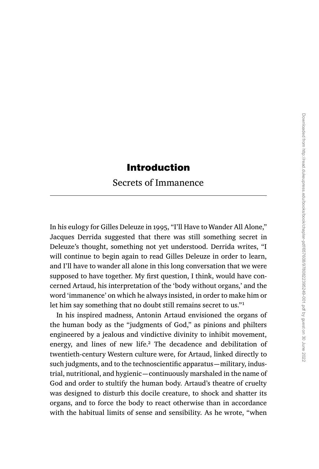Secrets of Immanence

In his eulogy for Gilles Deleuze in 1995, "I'll Have to Wander All Alone," Jacques Derrida suggested that there was still something secret in Deleuze's thought, something not yet understood. Derrida writes, "I will continue to begin again to read Gilles Deleuze in order to learn, and I'll have to wander all alone in this long conversation that we were supposed to have together. My first question, I think, would have concerned Artaud, his interpretation of the 'body without organs,' and the word 'immanence' on which he always insisted, in order to make him or let him say something that no doubt still remains secret to us."1

 In his inspired madness, Antonin Artaud envisioned the organs of the human body as the "judgments of God," as pinions and philters engineered by a jealous and vindictive divinity to inhibit movement, energy, and lines of new life.<sup>2</sup> The decadence and debilitation of twentieth- century Western culture were, for Artaud, linked directly to such judgments, and to the technoscientific apparatus—military, industrial, nutritional, and hygienic—continuously marshaled in the name of God and order to stultify the human body. Artaud's theatre of cruelty was designed to disturb this docile creature, to shock and shatter its organs, and to force the body to react otherwise than in accordance with the habitual limits of sense and sensibility. As he wrote, "when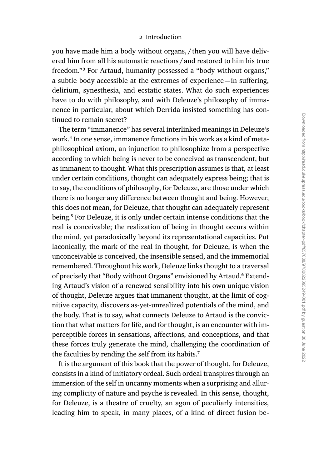you have made him a body without organs, / then you will have delivered him from all his automatic reactions / and restored to him his true freedom."3 For Artaud, humanity possessed a "body without organs," a subtle body accessible at the extremes of experience—in suffering, delirium, synesthesia, and ecstatic states. What do such experiences have to do with philosophy, and with Deleuze's philosophy of immanence in particular, about which Derrida insisted something has continued to remain secret?

 The term "immanence" has several interlinked meanings in Deleuze's work.4 In one sense, immanence functions in his work as a kind of metaphilosophical axiom, an injunction to philosophize from a perspective according to which being is never to be conceived as transcendent, but as immanent to thought. What this prescription assumes is that, at least under certain conditions, thought can adequately express being; that is to say, the conditions of philosophy, for Deleuze, are those under which there is no longer any difference between thought and being. However, this does not mean, for Deleuze, that thought can adequately represent being.<sup>5</sup> For Deleuze, it is only under certain intense conditions that the real is conceivable; the realization of being in thought occurs within the mind, yet paradoxically beyond its representational capacities. Put laconically, the mark of the real in thought, for Deleuze, is when the unconceivable is conceived, the insensible sensed, and the immemorial remembered. Throughout his work, Deleuze links thought to a traversal of precisely that "Body without Organs" envisioned by Artaud.<sup>6</sup> Extending Artaud's vision of a renewed sensibility into his own unique vision of thought, Deleuze argues that immanent thought, at the limit of cognitive capacity, discovers as- yet- unrealized potentials of the mind, and the body. That is to say, what connects Deleuze to Artaud is the conviction that what matters for life, and for thought, is an encounter with imperceptible forces in sensations, affections, and conceptions, and that these forces truly generate the mind, challenging the coordination of the faculties by rending the self from its habits.7

 It is the argument of this book that the power of thought, for Deleuze, consists in a kind of initiatory ordeal. Such ordeal transpires through an immersion of the self in uncanny moments when a surprising and alluring complicity of nature and psyche is revealed. In this sense, thought, for Deleuze, is a theatre of cruelty, an agon of peculiarly intensities, leading him to speak, in many places, of a kind of direct fusion be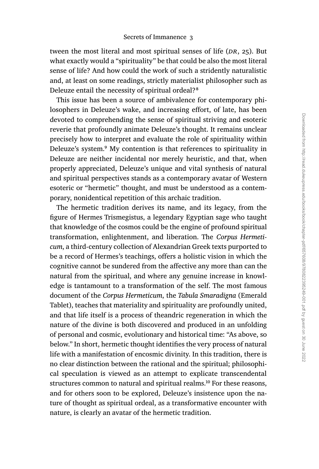tween the most literal and most spiritual senses of life (*DR*, 25). But what exactly would a "spirituality" be that could be also the most literal sense of life? And how could the work of such a stridently naturalistic and, at least on some readings, strictly materialist philosopher such as Deleuze entail the necessity of spiritual ordeal?8

 This issue has been a source of ambivalence for contemporary philosophers in Deleuze's wake, and increasing effort, of late, has been devoted to comprehending the sense of spiritual striving and esoteric reverie that profoundly animate Deleuze's thought. It remains unclear precisely how to interpret and evaluate the role of spirituality within Deleuze's system.9 My contention is that references to spirituality in Deleuze are neither incidental nor merely heuristic, and that, when properly appreciated, Deleuze's unique and vital synthesis of natural and spiritual perspectives stands as a contemporary avatar of Western esoteric or "hermetic" thought, and must be understood as a contemporary, nonidentical repetition of this archaic tradition.

 The hermetic tradition derives its name, and its legacy, from the figure of Hermes Trismegistus, a legendary Egyptian sage who taught that knowledge of the cosmos could be the engine of profound spiritual transformation, enlightenment, and liberation. The *Corpus Hermeticum*, a third- century collection of Alexandrian Greek texts purported to be a record of Hermes's teachings, offers a holistic vision in which the cognitive cannot be sundered from the affective any more than can the natural from the spiritual, and where any genuine increase in knowledge is tantamount to a transformation of the self. The most famous document of the *Corpus Hermeticum*, the *Tabula Smaradigna* (Emerald Tablet), teaches that materiality and spirituality are profoundly united, and that life itself is a process of theandric regeneration in which the nature of the divine is both discovered and produced in an unfolding of personal and cosmic, evolutionary and historical time: "As above, so below." In short, hermetic thought identifies the very process of natural life with a manifestation of encosmic divinity. In this tradition, there is no clear distinction between the rational and the spiritual; philosophical speculation is viewed as an attempt to explicate transcendental structures common to natural and spiritual realms.<sup>10</sup> For these reasons, and for others soon to be explored, Deleuze's insistence upon the nature of thought as spiritual ordeal, as a transformative encounter with nature, is clearly an avatar of the hermetic tradition.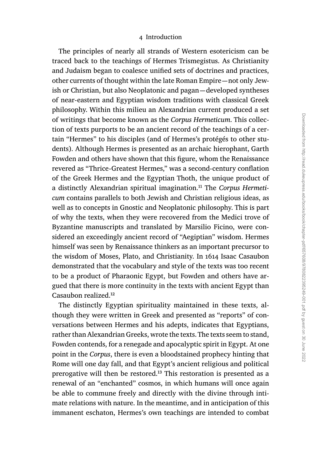The principles of nearly all strands of Western esotericism can be traced back to the teachings of Hermes Trismegistus. As Christianity and Judaism began to coalesce unified sets of doctrines and practices, other currents of thought within the late Roman Empire—not only Jewish or Christian, but also Neoplatonic and pagan—developed syntheses of near- eastern and Egyptian wisdom traditions with classical Greek philosophy. Within this milieu an Alexandrian current produced a set of writings that become known as the *Corpus Hermeticum*. This collection of texts purports to be an ancient record of the teachings of a certain "Hermes" to his disciples (and of Hermes's protégés to other students). Although Hermes is presented as an archaic hierophant, Garth Fowden and others have shown that this figure, whom the Renaissance revered as "Thrice- Greatest Hermes," was a second- century conflation of the Greek Hermes and the Egyptian Thoth, the unique product of a distinctly Alexandrian spiritual imagination.11 The *Corpus Hermeticum* contains parallels to both Jewish and Christian religious ideas, as well as to concepts in Gnostic and Neoplatonic philosophy. This is part of why the texts, when they were recovered from the Medici trove of Byzantine manuscripts and translated by Marsilio Ficino, were considered an exceedingly ancient record of "Aegiptian" wisdom. Hermes himself was seen by Renaissance thinkers as an important precursor to the wisdom of Moses, Plato, and Christianity. In 1614 Isaac Casaubon demonstrated that the vocabulary and style of the texts was too recent to be a product of Pharaonic Egypt, but Fowden and others have argued that there is more continuity in the texts with ancient Egypt than Casaubon realized.12

 The distinctly Egyptian spirituality maintained in these texts, although they were written in Greek and presented as "reports" of conversations between Hermes and his adepts, indicates that Egyptians, rather than Alexandrian Greeks, wrote the texts. The texts seem to stand, Fowden contends, for a renegade and apocalyptic spirit in Egypt. At one point in the *Corpus*, there is even a bloodstained prophecy hinting that Rome will one day fall, and that Egypt's ancient religious and political prerogative will then be restored.<sup>13</sup> This restoration is presented as a renewal of an "enchanted" cosmos, in which humans will once again be able to commune freely and directly with the divine through intimate relations with nature. In the meantime, and in anticipation of this immanent eschaton, Hermes's own teachings are intended to combat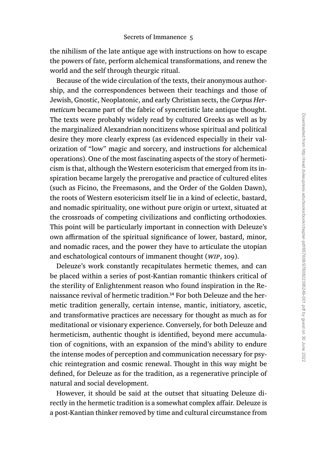the nihilism of the late antique age with instructions on how to escape the powers of fate, perform alchemical transformations, and renew the world and the self through theurgic ritual.

 Because of the wide circulation of the texts, their anonymous authorship, and the correspondences between their teachings and those of Jewish, Gnostic, Neoplatonic, and early Christian sects, the *Corpus Hermeticum* became part of the fabric of syncretistic late antique thought. The texts were probably widely read by cultured Greeks as well as by the marginalized Alexandrian noncitizens whose spiritual and political desire they more clearly express (as evidenced especially in their valorization of "low" magic and sorcery, and instructions for alchemical operations). One of the most fascinating aspects of the story of hermeticism is that, although the Western esotericism that emerged from its inspiration became largely the prerogative and practice of cultured elites (such as Ficino, the Freemasons, and the Order of the Golden Dawn), the roots of Western esotericism itself lie in a kind of eclectic, bastard, and nomadic spirituality, one without pure origin or urtext, situated at the crossroads of competing civilizations and conflicting orthodoxies. This point will be particularly important in connection with Deleuze's own affirmation of the spiritual significance of lower, bastard, minor, and nomadic races, and the power they have to articulate the utopian and eschatological contours of immanent thought (*WIP*, 109).

 Deleuze's work constantly recapitulates hermetic themes, and can be placed within a series of post- Kantian romantic thinkers critical of the sterility of Enlightenment reason who found inspiration in the Renaissance revival of hermetic tradition.<sup>14</sup> For both Deleuze and the hermetic tradition generally, certain intense, mantic, initiatory, ascetic, and transformative practices are necessary for thought as much as for meditational or visionary experience. Conversely, for both Deleuze and hermeticism, authentic thought is identified, beyond mere accumulation of cognitions, with an expansion of the mind's ability to endure the intense modes of perception and communication necessary for psychic reintegration and cosmic renewal. Thought in this way might be defined, for Deleuze as for the tradition, as a regenerative principle of natural and social development.

 However, it should be said at the outset that situating Deleuze directly in the hermetic tradition is a somewhat complex affair. Deleuze is a post-Kantian thinker removed by time and cultural circumstance from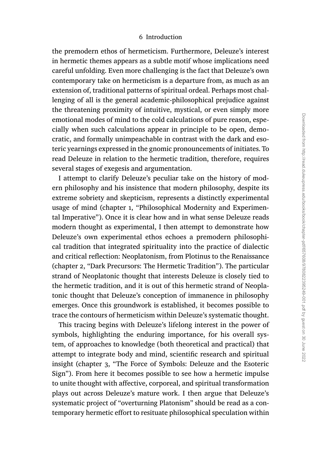the premodern ethos of hermeticism. Furthermore, Deleuze's interest in hermetic themes appears as a subtle motif whose implications need careful unfolding. Even more challenging is the fact that Deleuze's own contemporary take on hermeticism is a departure from, as much as an extension of, traditional patterns of spiritual ordeal. Perhaps most challenging of all is the general academic- philosophical prejudice against the threatening proximity of intuitive, mystical, or even simply more emotional modes of mind to the cold calculations of pure reason, especially when such calculations appear in principle to be open, democratic, and formally unimpeachable in contrast with the dark and esoteric yearnings expressed in the gnomic pronouncements of initiates. To read Deleuze in relation to the hermetic tradition, therefore, requires several stages of exegesis and argumentation.

 I attempt to clarify Deleuze's peculiar take on the history of modern philosophy and his insistence that modern philosophy, despite its extreme sobriety and skepticism, represents a distinctly experimental usage of mind (chapter 1, "Philosophical Modernity and Experimental Imperative"). Once it is clear how and in what sense Deleuze reads modern thought as experimental, I then attempt to demonstrate how Deleuze's own experimental ethos echoes a premodern philosophical tradition that integrated spirituality into the practice of dialectic and critical reflection: Neoplatonism, from Plotinus to the Renaissance (chapter 2, "Dark Precursors: The Hermetic Tradition"). The particular strand of Neoplatonic thought that interests Deleuze is closely tied to the hermetic tradition, and it is out of this hermetic strand of Neoplatonic thought that Deleuze's conception of immanence in philosophy emerges. Once this groundwork is established, it becomes possible to trace the contours of hermeticism within Deleuze's systematic thought.

 This tracing begins with Deleuze's lifelong interest in the power of symbols, highlighting the enduring importance, for his overall system, of approaches to knowledge (both theoretical and practical) that attempt to integrate body and mind, scientific research and spiritual insight (chapter 3, "The Force of Symbols: Deleuze and the Esoteric Sign"). From here it becomes possible to see how a hermetic impulse to unite thought with affective, corporeal, and spiritual transformation plays out across Deleuze's mature work. I then argue that Deleuze's systematic project of "overturning Platonism" should be read as a contemporary hermetic effort to resituate philosophical speculation within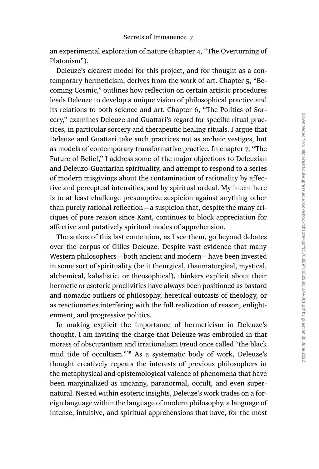an experimental exploration of nature (chapter 4, "The Overturning of Platonism").

 Deleuze's clearest model for this project, and for thought as a contemporary hermeticism, derives from the work of art. Chapter 5, "Becoming Cosmic," outlines how reflection on certain artistic procedures leads Deleuze to develop a unique vision of philosophical practice and its relations to both science and art. Chapter 6, "The Politics of Sorcery," examines Deleuze and Guattari's regard for specific ritual practices, in particular sorcery and therapeutic healing rituals. I argue that Deleuze and Guattari take such practices not as archaic vestiges, but as models of contemporary transformative practice. In chapter 7, "The Future of Belief," I address some of the major objections to Deleuzian and Deleuzo- Guattarian spirituality, and attempt to respond to a series of modern misgivings about the contamination of rationality by affective and perceptual intensities, and by spiritual ordeal. My intent here is to at least challenge presumptive suspicion against anything other than purely rational reflection—a suspicion that, despite the many critiques of pure reason since Kant, continues to block appreciation for affective and putatively spiritual modes of apprehension.

 The stakes of this last contention, as I see them, go beyond debates over the corpus of Gilles Deleuze. Despite vast evidence that many Western philosophers—both ancient and modern—have been invested in some sort of spirituality (be it theurgical, thaumaturgical, mystical, alchemical, kabalistic, or theosophical), thinkers explicit about their hermetic or esoteric proclivities have always been positioned as bastard and nomadic outliers of philosophy, heretical outcasts of theology, or as reactionaries interfering with the full realization of reason, enlightenment, and progressive politics.

 In making explicit the importance of hermeticism in Deleuze's thought, I am inviting the charge that Deleuze was embroiled in that morass of obscurantism and irrationalism Freud once called "the black mud tide of occultism."15 As a systematic body of work, Deleuze's thought creatively repeats the interests of previous philosophers in the metaphysical and epistemological valence of phenomena that have been marginalized as uncanny, paranormal, occult, and even supernatural. Nested within esoteric insights, Deleuze's work trades on a foreign language within the language of modern philosophy, a language of intense, intuitive, and spiritual apprehensions that have, for the most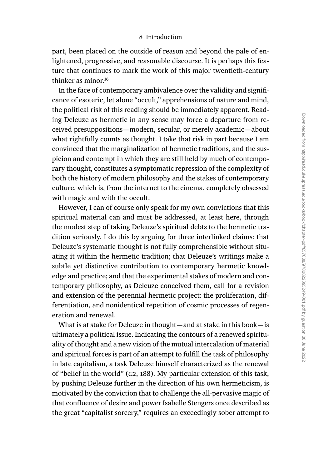part, been placed on the outside of reason and beyond the pale of enlightened, progressive, and reasonable discourse. It is perhaps this feature that continues to mark the work of this major twentieth- century thinker as minor.16

 In the face of contemporary ambivalence over the validity and significance of esoteric, let alone "occult," apprehensions of nature and mind, the political risk of this reading should be immediately apparent. Reading Deleuze as hermetic in any sense may force a departure from received presuppositions—modern, secular, or merely academic—about what rightfully counts as thought. I take that risk in part because I am convinced that the marginalization of hermetic traditions, and the suspicion and contempt in which they are still held by much of contemporary thought, constitutes a symptomatic repression of the complexity of both the history of modern philosophy and the stakes of contemporary culture, which is, from the internet to the cinema, completely obsessed with magic and with the occult.

 However, I can of course only speak for my own convictions that this spiritual material can and must be addressed, at least here, through the modest step of taking Deleuze's spiritual debts to the hermetic tradition seriously. I do this by arguing for three interlinked claims: that Deleuze's systematic thought is not fully comprehensible without situating it within the hermetic tradition; that Deleuze's writings make a subtle yet distinctive contribution to contemporary hermetic knowledge and practice; and that the experimental stakes of modern and contemporary philosophy, as Deleuze conceived them, call for a revision and extension of the perennial hermetic project: the proliferation, differentiation, and nonidentical repetition of cosmic processes of regeneration and renewal.

 What is at stake for Deleuze in thought—and at stake in this book—is ultimately a political issue. Indicating the contours of a renewed spirituality of thought and a new vision of the mutual intercalation of material and spiritual forces is part of an attempt to fulfill the task of philosophy in late capitalism, a task Deleuze himself characterized as the renewal of "belief in the world" (*C2*, 188). My particular extension of this task, by pushing Deleuze further in the direction of his own hermeticism, is motivated by the conviction that to challenge the all-pervasive magic of that confluence of desire and power Isabelle Stengers once described as the great "capitalist sorcery," requires an exceedingly sober attempt to